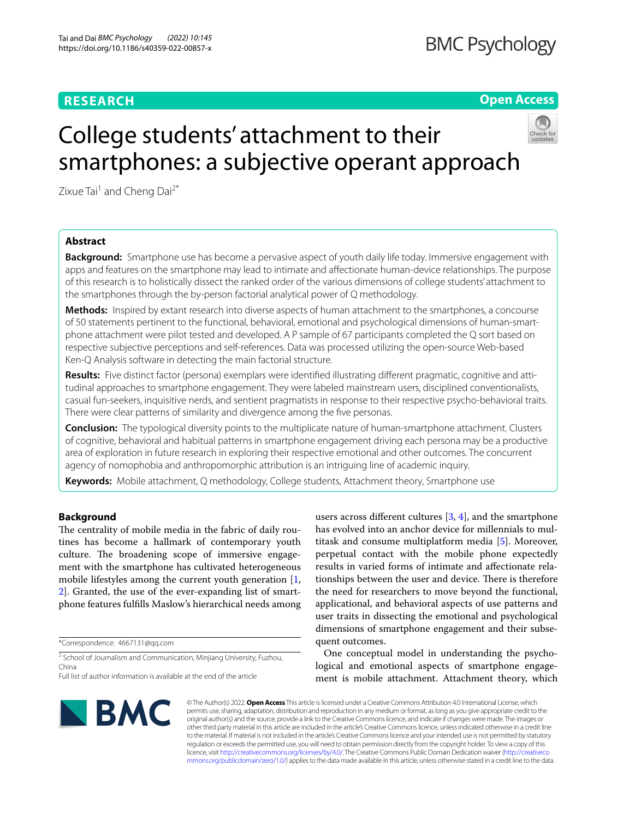# **RESEARCH**

**Open Access**

# College students' attachment to their smartphones: a subjective operant approach

Zixue Tai<sup>1</sup> and Cheng Dai<sup>2\*</sup>

# **Abstract**

**Background:** Smartphone use has become a pervasive aspect of youth daily life today. Immersive engagement with apps and features on the smartphone may lead to intimate and afectionate human-device relationships. The purpose of this research is to holistically dissect the ranked order of the various dimensions of college students' attachment to the smartphones through the by-person factorial analytical power of Q methodology.

**Methods:** Inspired by extant research into diverse aspects of human attachment to the smartphones, a concourse of 50 statements pertinent to the functional, behavioral, emotional and psychological dimensions of human-smartphone attachment were pilot tested and developed. A P sample of 67 participants completed the Q sort based on respective subjective perceptions and self-references. Data was processed utilizing the open-source Web-based Ken-Q Analysis software in detecting the main factorial structure.

**Results:** Five distinct factor (persona) exemplars were identifed illustrating diferent pragmatic, cognitive and attitudinal approaches to smartphone engagement. They were labeled mainstream users, disciplined conventionalists, casual fun-seekers, inquisitive nerds, and sentient pragmatists in response to their respective psycho-behavioral traits. There were clear patterns of similarity and divergence among the fve personas.

**Conclusion:** The typological diversity points to the multiplicate nature of human-smartphone attachment. Clusters of cognitive, behavioral and habitual patterns in smartphone engagement driving each persona may be a productive area of exploration in future research in exploring their respective emotional and other outcomes. The concurrent agency of nomophobia and anthropomorphic attribution is an intriguing line of academic inquiry.

**Keywords:** Mobile attachment, Q methodology, College students, Attachment theory, Smartphone use

# **Background**

The centrality of mobile media in the fabric of daily routines has become a hallmark of contemporary youth culture. The broadening scope of immersive engagement with the smartphone has cultivated heterogeneous mobile lifestyles among the current youth generation [\[1](#page-11-0), [2\]](#page-11-1). Granted, the use of the ever-expanding list of smartphone features fulflls Maslow's hierarchical needs among

\*Correspondence: 4667131@qq.com

<sup>2</sup> School of Journalism and Communication, Minjiang University, Fuzhou, China

users across diferent cultures [[3,](#page-11-2) [4\]](#page-11-3), and the smartphone has evolved into an anchor device for millennials to multitask and consume multiplatform media [[5\]](#page-11-4). Moreover, perpetual contact with the mobile phone expectedly results in varied forms of intimate and afectionate relationships between the user and device. There is therefore the need for researchers to move beyond the functional, applicational, and behavioral aspects of use patterns and user traits in dissecting the emotional and psychological dimensions of smartphone engagement and their subsequent outcomes.

One conceptual model in understanding the psychological and emotional aspects of smartphone engagement is mobile attachment. Attachment theory, which



© The Author(s) 2022. **Open Access** This article is licensed under a Creative Commons Attribution 4.0 International License, which permits use, sharing, adaptation, distribution and reproduction in any medium or format, as long as you give appropriate credit to the original author(s) and the source, provide a link to the Creative Commons licence, and indicate if changes were made. The images or other third party material in this article are included in the article's Creative Commons licence, unless indicated otherwise in a credit line to the material. If material is not included in the article's Creative Commons licence and your intended use is not permitted by statutory regulation or exceeds the permitted use, you will need to obtain permission directly from the copyright holder. To view a copy of this licence, visit [http://creativecommons.org/licenses/by/4.0/.](http://creativecommons.org/licenses/by/4.0/) The Creative Commons Public Domain Dedication waiver ([http://creativeco](http://creativecommons.org/publicdomain/zero/1.0/) [mmons.org/publicdomain/zero/1.0/](http://creativecommons.org/publicdomain/zero/1.0/)) applies to the data made available in this article, unless otherwise stated in a credit line to the data.

Full list of author information is available at the end of the article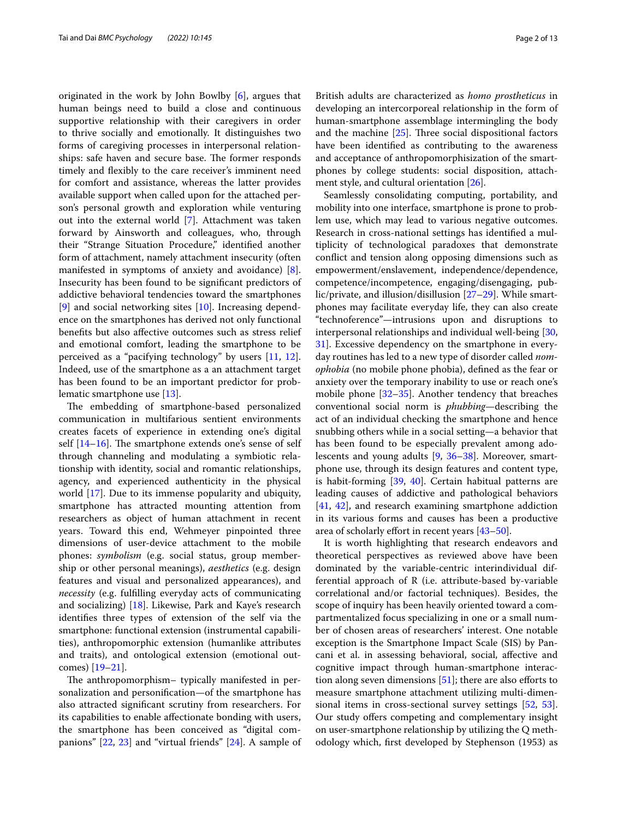originated in the work by John Bowlby [[6\]](#page-11-5), argues that human beings need to build a close and continuous supportive relationship with their caregivers in order to thrive socially and emotionally. It distinguishes two forms of caregiving processes in interpersonal relationships: safe haven and secure base. The former responds timely and fexibly to the care receiver's imminent need for comfort and assistance, whereas the latter provides available support when called upon for the attached person's personal growth and exploration while venturing out into the external world [[7\]](#page-11-6). Attachment was taken forward by Ainsworth and colleagues, who, through their "Strange Situation Procedure," identifed another form of attachment, namely attachment insecurity (often manifested in symptoms of anxiety and avoidance) [\[8](#page-11-7)]. Insecurity has been found to be signifcant predictors of addictive behavioral tendencies toward the smartphones [[9\]](#page-11-8) and social networking sites [[10\]](#page-11-9). Increasing dependence on the smartphones has derived not only functional benefts but also afective outcomes such as stress relief and emotional comfort, leading the smartphone to be perceived as a "pacifying technology" by users [\[11](#page-11-10), [12](#page-11-11)]. Indeed, use of the smartphone as a an attachment target has been found to be an important predictor for problematic smartphone use [[13\]](#page-11-12).

The embedding of smartphone-based personalized communication in multifarious sentient environments creates facets of experience in extending one's digital self  $[14-16]$  $[14-16]$  $[14-16]$ . The smartphone extends one's sense of self through channeling and modulating a symbiotic relationship with identity, social and romantic relationships, agency, and experienced authenticity in the physical world [[17\]](#page-11-15). Due to its immense popularity and ubiquity, smartphone has attracted mounting attention from researchers as object of human attachment in recent years. Toward this end, Wehmeyer pinpointed three dimensions of user-device attachment to the mobile phones: *symbolism* (e.g. social status, group membership or other personal meanings), *aesthetics* (e.g. design features and visual and personalized appearances), and *necessity* (e.g. fulflling everyday acts of communicating and socializing) [[18\]](#page-11-16). Likewise, Park and Kaye's research identifes three types of extension of the self via the smartphone: functional extension (instrumental capabilities), anthropomorphic extension (humanlike attributes and traits), and ontological extension (emotional outcomes) [\[19](#page-11-17)[–21](#page-11-18)].

The anthropomorphism- typically manifested in personalization and personifcation—of the smartphone has also attracted signifcant scrutiny from researchers. For its capabilities to enable afectionate bonding with users, the smartphone has been conceived as "digital companions" [\[22,](#page-11-19) [23](#page-11-20)] and "virtual friends" [[24\]](#page-11-21). A sample of British adults are characterized as *homo prostheticus* in developing an intercorporeal relationship in the form of human-smartphone assemblage intermingling the body and the machine  $[25]$  $[25]$ . Three social dispositional factors have been identifed as contributing to the awareness and acceptance of anthropomorphisization of the smartphones by college students: social disposition, attachment style, and cultural orientation [[26\]](#page-11-23).

Seamlessly consolidating computing, portability, and mobility into one interface, smartphone is prone to problem use, which may lead to various negative outcomes. Research in cross-national settings has identifed a multiplicity of technological paradoxes that demonstrate confict and tension along opposing dimensions such as empowerment/enslavement, independence/dependence, competence/incompetence, engaging/disengaging, public/private, and illusion/disillusion [\[27](#page-11-24)[–29](#page-11-25)]. While smartphones may facilitate everyday life, they can also create "technoference"—intrusions upon and disruptions to interpersonal relationships and individual well-being [[30](#page-11-26), [31\]](#page-11-27). Excessive dependency on the smartphone in everyday routines has led to a new type of disorder called *nomophobia* (no mobile phone phobia), defned as the fear or anxiety over the temporary inability to use or reach one's mobile phone [\[32–](#page-11-28)[35\]](#page-11-29). Another tendency that breaches conventional social norm is *phubbing*—describing the act of an individual checking the smartphone and hence snubbing others while in a social setting—a behavior that has been found to be especially prevalent among adolescents and young adults [\[9](#page-11-8), [36](#page-11-30)–[38\]](#page-11-31). Moreover, smartphone use, through its design features and content type, is habit-forming [[39,](#page-11-32) [40\]](#page-11-33). Certain habitual patterns are leading causes of addictive and pathological behaviors [[41,](#page-11-34) [42\]](#page-11-35), and research examining smartphone addiction in its various forms and causes has been a productive area of scholarly effort in recent years [43-[50\]](#page-12-0).

It is worth highlighting that research endeavors and theoretical perspectives as reviewed above have been dominated by the variable-centric interindividual differential approach of R (i.e. attribute-based by-variable correlational and/or factorial techniques). Besides, the scope of inquiry has been heavily oriented toward a compartmentalized focus specializing in one or a small number of chosen areas of researchers' interest. One notable exception is the Smartphone Impact Scale (SIS) by Pancani et al. in assessing behavioral, social, afective and cognitive impact through human-smartphone interaction along seven dimensions  $[51]$  $[51]$ ; there are also efforts to measure smartphone attachment utilizing multi-dimensional items in cross-sectional survey settings [\[52,](#page-12-2) [53](#page-12-3)]. Our study offers competing and complementary insight on user-smartphone relationship by utilizing the Q methodology which, frst developed by Stephenson (1953) as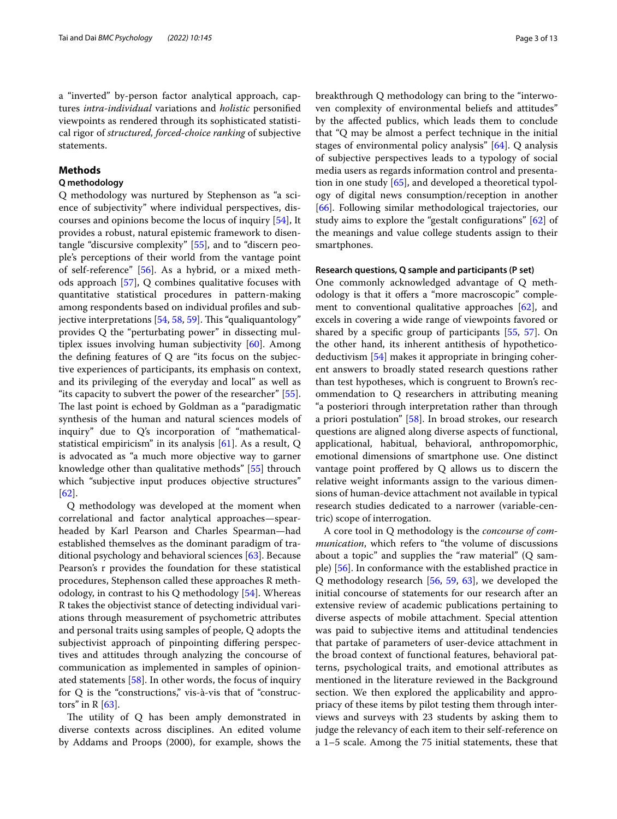a "inverted" by-person factor analytical approach, captures *intra-individual* variations and *holistic* personifed viewpoints as rendered through its sophisticated statistical rigor of *structured, forced-choice ranking* of subjective statements.

# **Methods**

## **Q methodology**

Q methodology was nurtured by Stephenson as "a science of subjectivity" where individual perspectives, discourses and opinions become the locus of inquiry [\[54](#page-12-4)], It provides a robust, natural epistemic framework to disentangle "discursive complexity" [\[55](#page-12-5)], and to "discern people's perceptions of their world from the vantage point of self-reference" [[56\]](#page-12-6). As a hybrid, or a mixed methods approach [\[57](#page-12-7)], Q combines qualitative focuses with quantitative statistical procedures in pattern-making among respondents based on individual profles and subjective interpretations  $[54, 58, 59]$  $[54, 58, 59]$  $[54, 58, 59]$  $[54, 58, 59]$  $[54, 58, 59]$ . This "qualiquantology" provides Q the "perturbating power" in dissecting multiplex issues involving human subjectivity [[60](#page-12-10)]. Among the defning features of Q are "its focus on the subjective experiences of participants, its emphasis on context, and its privileging of the everyday and local" as well as "its capacity to subvert the power of the researcher" [\[55](#page-12-5)]. The last point is echoed by Goldman as a "paradigmatic synthesis of the human and natural sciences models of inquiry" due to Q's incorporation of "mathematicalstatistical empiricism" in its analysis  $[61]$  $[61]$ . As a result, Q is advocated as "a much more objective way to garner knowledge other than qualitative methods" [[55\]](#page-12-5) throuch which "subjective input produces objective structures" [[62\]](#page-12-12).

Q methodology was developed at the moment when correlational and factor analytical approaches—spearheaded by Karl Pearson and Charles Spearman—had established themselves as the dominant paradigm of traditional psychology and behavioral sciences [[63\]](#page-12-13). Because Pearson's r provides the foundation for these statistical procedures, Stephenson called these approaches R methodology, in contrast to his Q methodology [\[54](#page-12-4)]. Whereas R takes the objectivist stance of detecting individual variations through measurement of psychometric attributes and personal traits using samples of people, Q adopts the subjectivist approach of pinpointing difering perspectives and attitudes through analyzing the concourse of communication as implemented in samples of opinionated statements [[58\]](#page-12-8). In other words, the focus of inquiry for  $Q$  is the "constructions," vis-à-vis that of "constructors" in  $R$  [\[63](#page-12-13)].

The utility of  $Q$  has been amply demonstrated in diverse contexts across disciplines. An edited volume by Addams and Proops (2000), for example, shows the breakthrough Q methodology can bring to the "interwoven complexity of environmental beliefs and attitudes" by the afected publics, which leads them to conclude that "Q may be almost a perfect technique in the initial stages of environmental policy analysis" [\[64](#page-12-14)]. Q analysis of subjective perspectives leads to a typology of social media users as regards information control and presentation in one study [\[65\]](#page-12-15), and developed a theoretical typology of digital news consumption/reception in another [[66\]](#page-12-16). Following similar methodological trajectories, our study aims to explore the "gestalt confgurations" [\[62](#page-12-12)] of the meanings and value college students assign to their smartphones.

## **Research questions, Q sample and participants (P set)**

One commonly acknowledged advantage of Q methodology is that it offers a "more macroscopic" complement to conventional qualitative approaches [\[62](#page-12-12)], and excels in covering a wide range of viewpoints favored or shared by a specifc group of participants [[55,](#page-12-5) [57\]](#page-12-7). On the other hand, its inherent antithesis of hypotheticodeductivism [[54\]](#page-12-4) makes it appropriate in bringing coherent answers to broadly stated research questions rather than test hypotheses, which is congruent to Brown's recommendation to Q researchers in attributing meaning "a posteriori through interpretation rather than through a priori postulation" [[58\]](#page-12-8). In broad strokes, our research questions are aligned along diverse aspects of functional, applicational, habitual, behavioral, anthropomorphic, emotional dimensions of smartphone use. One distinct vantage point proffered by  $Q$  allows us to discern the relative weight informants assign to the various dimensions of human-device attachment not available in typical research studies dedicated to a narrower (variable-centric) scope of interrogation.

A core tool in Q methodology is the *concourse of communication*, which refers to "the volume of discussions about a topic" and supplies the "raw material" (Q sample) [[56\]](#page-12-6). In conformance with the established practice in Q methodology research [\[56,](#page-12-6) [59,](#page-12-9) [63](#page-12-13)], we developed the initial concourse of statements for our research after an extensive review of academic publications pertaining to diverse aspects of mobile attachment. Special attention was paid to subjective items and attitudinal tendencies that partake of parameters of user-device attachment in the broad context of functional features, behavioral patterns, psychological traits, and emotional attributes as mentioned in the literature reviewed in the Background section. We then explored the applicability and appropriacy of these items by pilot testing them through interviews and surveys with 23 students by asking them to judge the relevancy of each item to their self-reference on a 1–5 scale. Among the 75 initial statements, these that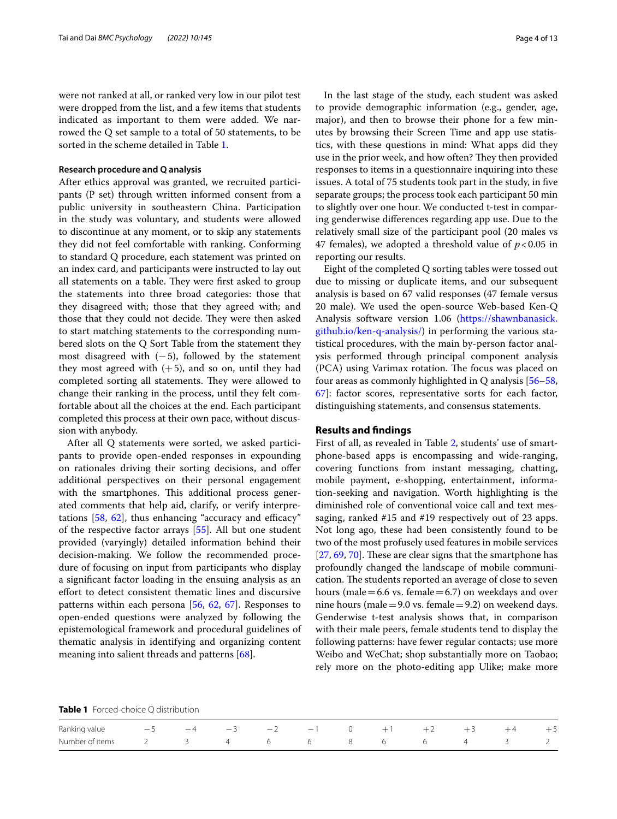were not ranked at all, or ranked very low in our pilot test were dropped from the list, and a few items that students indicated as important to them were added. We narrowed the Q set sample to a total of 50 statements, to be sorted in the scheme detailed in Table [1](#page-3-0).

## **Research procedure and Q analysis**

After ethics approval was granted, we recruited participants (P set) through written informed consent from a public university in southeastern China. Participation in the study was voluntary, and students were allowed to discontinue at any moment, or to skip any statements they did not feel comfortable with ranking. Conforming to standard Q procedure, each statement was printed on an index card, and participants were instructed to lay out all statements on a table. They were first asked to group the statements into three broad categories: those that they disagreed with; those that they agreed with; and those that they could not decide. They were then asked to start matching statements to the corresponding numbered slots on the Q Sort Table from the statement they most disagreed with  $(-5)$ , followed by the statement they most agreed with  $(+5)$ , and so on, until they had completed sorting all statements. They were allowed to change their ranking in the process, until they felt comfortable about all the choices at the end. Each participant completed this process at their own pace, without discussion with anybody.

After all Q statements were sorted, we asked participants to provide open-ended responses in expounding on rationales driving their sorting decisions, and offer additional perspectives on their personal engagement with the smartphones. This additional process generated comments that help aid, clarify, or verify interpretations  $[58, 62]$  $[58, 62]$  $[58, 62]$  $[58, 62]$  $[58, 62]$ , thus enhancing "accuracy and efficacy" of the respective factor arrays [\[55](#page-12-5)]. All but one student provided (varyingly) detailed information behind their decision-making. We follow the recommended procedure of focusing on input from participants who display a signifcant factor loading in the ensuing analysis as an efort to detect consistent thematic lines and discursive patterns within each persona [[56,](#page-12-6) [62](#page-12-12), [67\]](#page-12-17). Responses to open-ended questions were analyzed by following the epistemological framework and procedural guidelines of thematic analysis in identifying and organizing content meaning into salient threads and patterns [\[68](#page-12-18)].

In the last stage of the study, each student was asked to provide demographic information (e.g., gender, age, major), and then to browse their phone for a few minutes by browsing their Screen Time and app use statistics, with these questions in mind: What apps did they use in the prior week, and how often? They then provided responses to items in a questionnaire inquiring into these issues. A total of 75 students took part in the study, in fve separate groups; the process took each participant 50 min to slightly over one hour. We conducted t-test in comparing genderwise diferences regarding app use. Due to the relatively small size of the participant pool (20 males vs 47 females), we adopted a threshold value of  $p < 0.05$  in reporting our results.

Eight of the completed Q sorting tables were tossed out due to missing or duplicate items, and our subsequent analysis is based on 67 valid responses (47 female versus 20 male). We used the open-source Web-based Ken-Q Analysis software version 1.06 [\(https://shawnbanasick.](https://shawnbanasick.github.io/ken-q-analysis/) [github.io/ken-q-analysis/](https://shawnbanasick.github.io/ken-q-analysis/)) in performing the various statistical procedures, with the main by-person factor analysis performed through principal component analysis (PCA) using Varimax rotation. The focus was placed on four areas as commonly highlighted in Q analysis [[56–](#page-12-6)[58](#page-12-8), [67\]](#page-12-17): factor scores, representative sorts for each factor, distinguishing statements, and consensus statements.

#### **Results and fndings**

First of all, as revealed in Table [2](#page-4-0), students' use of smartphone-based apps is encompassing and wide-ranging, covering functions from instant messaging, chatting, mobile payment, e-shopping, entertainment, information-seeking and navigation. Worth highlighting is the diminished role of conventional voice call and text messaging, ranked #15 and #19 respectively out of 23 apps. Not long ago, these had been consistently found to be two of the most profusely used features in mobile services  $[27, 69, 70]$  $[27, 69, 70]$  $[27, 69, 70]$  $[27, 69, 70]$  $[27, 69, 70]$  $[27, 69, 70]$ . These are clear signs that the smartphone has profoundly changed the landscape of mobile communication. The students reported an average of close to seven hours (male  $=6.6$  vs. female  $=6.7$ ) on weekdays and over nine hours (male = 9.0 vs. female = 9.2) on weekend days. Genderwise t-test analysis shows that, in comparison with their male peers, female students tend to display the following patterns: have fewer regular contacts; use more Weibo and WeChat; shop substantially more on Taobao; rely more on the photo-editing app Ulike; make more

<span id="page-3-0"></span>**Table 1** Forced-choice Q distribution

| Ranking value $-5$ $-4$ $-3$ $-2$ $-1$ 0 $+1$ $+2$ $+3$ $+4$ $+5$ |  |  |  |  |  |  |
|-------------------------------------------------------------------|--|--|--|--|--|--|
| Number of items 2 3 4 6 6 8 6 6 4 3 2                             |  |  |  |  |  |  |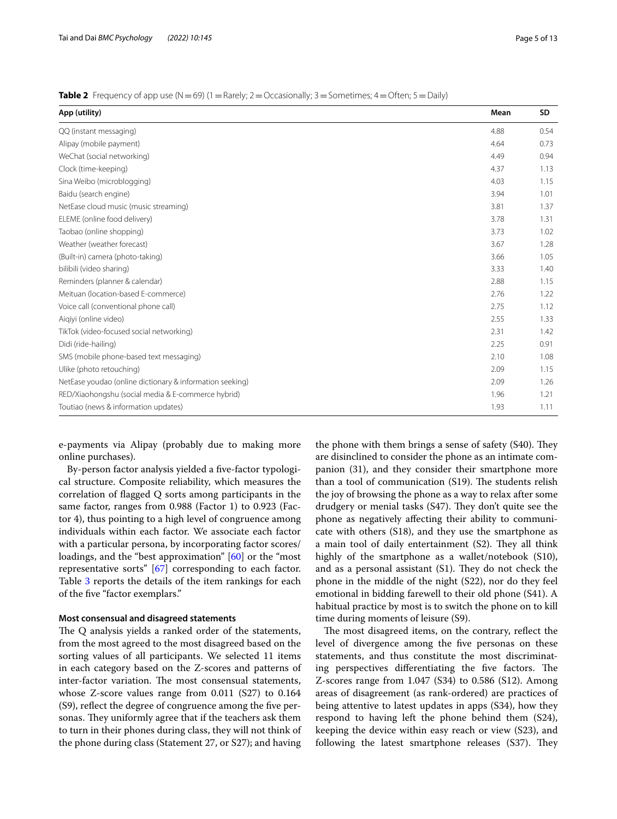<span id="page-4-0"></span>

| Table 2 Frequency of app use (N = 69) (1 = Rarely; 2 = Occasionally; 3 = Sometimes; 4 = Often; 5 = Daily) |  |
|-----------------------------------------------------------------------------------------------------------|--|
|-----------------------------------------------------------------------------------------------------------|--|

| App (utility)                                            | Mean | SD   |
|----------------------------------------------------------|------|------|
| QQ (instant messaging)                                   | 4.88 | 0.54 |
| Alipay (mobile payment)                                  | 4.64 | 0.73 |
| WeChat (social networking)                               | 4.49 | 0.94 |
| Clock (time-keeping)                                     | 4.37 | 1.13 |
| Sina Weibo (microblogging)                               | 4.03 | 1.15 |
| Baidu (search engine)                                    | 3.94 | 1.01 |
| NetEase cloud music (music streaming)                    | 3.81 | 1.37 |
| ELEME (online food delivery)                             | 3.78 | 1.31 |
| Taobao (online shopping)                                 | 3.73 | 1.02 |
| Weather (weather forecast)                               | 3.67 | 1.28 |
| (Built-in) camera (photo-taking)                         | 3.66 | 1.05 |
| bilibili (video sharing)                                 | 3.33 | 1.40 |
| Reminders (planner & calendar)                           | 2.88 | 1.15 |
| Meituan (location-based E-commerce)                      | 2.76 | 1.22 |
| Voice call (conventional phone call)                     | 2.75 | 1.12 |
| Aigiyi (online video)                                    | 2.55 | 1.33 |
| TikTok (video-focused social networking)                 | 2.31 | 1.42 |
| Didi (ride-hailing)                                      | 2.25 | 0.91 |
| SMS (mobile phone-based text messaging)                  | 2.10 | 1.08 |
| Ulike (photo retouching)                                 | 2.09 | 1.15 |
| NetEase youdao (online dictionary & information seeking) | 2.09 | 1.26 |
| RED/Xiaohongshu (social media & E-commerce hybrid)       | 1.96 | 1.21 |
| Toutiao (news & information updates)                     | 1.93 | 1.11 |

e-payments via Alipay (probably due to making more online purchases).

By-person factor analysis yielded a fve-factor typological structure. Composite reliability, which measures the correlation of fagged Q sorts among participants in the same factor, ranges from 0.988 (Factor 1) to 0.923 (Factor 4), thus pointing to a high level of congruence among individuals within each factor. We associate each factor with a particular persona, by incorporating factor scores/ loadings, and the "best approximation" [[60\]](#page-12-10) or the "most representative sorts" [\[67](#page-12-17)] corresponding to each factor. Table [3](#page-5-0) reports the details of the item rankings for each of the fve "factor exemplars."

### **Most consensual and disagreed statements**

The Q analysis yields a ranked order of the statements, from the most agreed to the most disagreed based on the sorting values of all participants. We selected 11 items in each category based on the Z-scores and patterns of inter-factor variation. The most consensual statements, whose Z-score values range from 0.011 (S27) to 0.164 (S9), refect the degree of congruence among the fve personas. They uniformly agree that if the teachers ask them to turn in their phones during class, they will not think of the phone during class (Statement 27, or S27); and having the phone with them brings a sense of safety (S40). They are disinclined to consider the phone as an intimate companion (31), and they consider their smartphone more than a tool of communication  $(S19)$ . The students relish the joy of browsing the phone as a way to relax after some drudgery or menial tasks (S47). They don't quite see the phone as negatively afecting their ability to communicate with others (S18), and they use the smartphone as a main tool of daily entertainment  $(S2)$ . They all think highly of the smartphone as a wallet/notebook (S10), and as a personal assistant  $(S1)$ . They do not check the phone in the middle of the night (S22), nor do they feel emotional in bidding farewell to their old phone (S41). A habitual practice by most is to switch the phone on to kill time during moments of leisure (S9).

The most disagreed items, on the contrary, reflect the level of divergence among the fve personas on these statements, and thus constitute the most discriminating perspectives differentiating the five factors. The Z-scores range from 1.047 (S34) to 0.586 (S12). Among areas of disagreement (as rank-ordered) are practices of being attentive to latest updates in apps (S34), how they respond to having left the phone behind them (S24), keeping the device within easy reach or view (S23), and following the latest smartphone releases (S37). They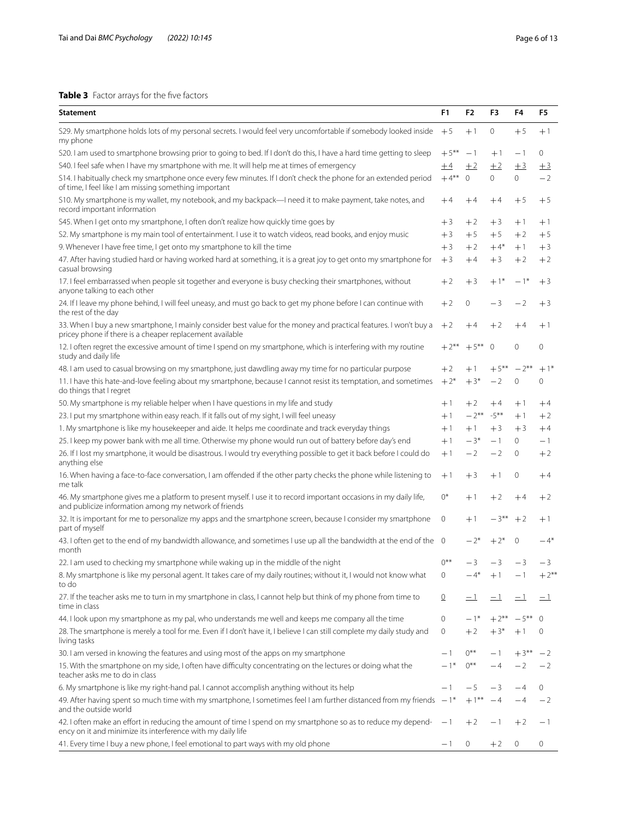# <span id="page-5-0"></span>**Table 3** Factor arrays for the five factors

| <b>Statement</b>                                                                                                                                                              | F <sub>1</sub> | F2           | F3             | F4             | F5           |
|-------------------------------------------------------------------------------------------------------------------------------------------------------------------------------|----------------|--------------|----------------|----------------|--------------|
| S29. My smartphone holds lots of my personal secrets. I would feel very uncomfortable if somebody looked inside +5<br>my phone                                                |                | $+1$         | 0              | $+5$           | $+1$         |
| S20. I am used to smartphone browsing prior to going to bed. If I don't do this, I have a hard time getting to sleep                                                          | $+5***$        | -1           | $+1$           | $-1$           | $\mathbf{0}$ |
| S40. I feel safe when I have my smartphone with me. It will help me at times of emergency                                                                                     | $\pm 4$        | ±2           | ±2             | ±3             | $\pm$ 3      |
| S14. I habitually check my smartphone once every few minutes. If I don't check the phone for an extended period<br>of time, I feel like I am missing something important      | $+4***$        | $\mathbf{0}$ | $\overline{0}$ | $\overline{0}$ | $-2$         |
| S10. My smartphone is my wallet, my notebook, and my backpack—I need it to make payment, take notes, and<br>record important information                                      | $+4$           | $+4$         | $+4$           | $+5$           | $+5$         |
| S45. When I get onto my smartphone, I often don't realize how quickly time goes by                                                                                            | $+3$           | $+2$         | $+3$           | $+1$           | $+1$         |
| S2. My smartphone is my main tool of entertainment. I use it to watch videos, read books, and enjoy music                                                                     | $+3$           | $+5$         | $+5$           | $+2$           | $+5$         |
| 9. Whenever I have free time, I get onto my smartphone to kill the time                                                                                                       | $+3$           | $+2$         | $+4*$          | $+1$           | $+3$         |
| 47. After having studied hard or having worked hard at something, it is a great joy to get onto my smartphone for<br>casual browsing                                          | $+3$           | $+4$         | $+3$           | $+2$           | $+2$         |
| 17. I feel embarrassed when people sit together and everyone is busy checking their smartphones, without<br>anyone talking to each other                                      | $+2$           | $+3$         | $+1*$          | $-1*$          | $+3$         |
| 24. If I leave my phone behind, I will feel uneasy, and must go back to get my phone before I can continue with<br>the rest of the day                                        | $+2$           | 0            | — 3            | $-2$           | $+3$         |
| 33. When I buy a new smartphone, I mainly consider best value for the money and practical features. I won't buy a<br>pricey phone if there is a cheaper replacement available | $+2$           | $+4$         | $+2$           | $+4$           | $+1$         |
| 12. I often regret the excessive amount of time I spend on my smartphone, which is interfering with my routine<br>study and daily life                                        | $+2**$         | $+5***$      | $\mathbf{0}$   | 0              | $\mathbf 0$  |
| 48. I am used to casual browsing on my smartphone, just dawdling away my time for no particular purpose                                                                       | $+2$           | $+1$         | $+5***$        | $-2**$         | $+1*$        |
| 11. I have this hate-and-love feeling about my smartphone, because I cannot resist its temptation, and sometimes<br>do things that I regret                                   | $+2*$          | $+3*$        | $-2$           | 0              | 0            |
| 50. My smartphone is my reliable helper when I have questions in my life and study                                                                                            | $+1$           | $+2$         | $+4$           | $+1$           | $+4$         |
| 23. I put my smartphone within easy reach. If it falls out of my sight, I will feel uneasy                                                                                    | $+1$           | $-2$ **      | $-5***$        | $+1$           | $+2$         |
| 1. My smartphone is like my housekeeper and aide. It helps me coordinate and track everyday things                                                                            | $+1$           | $+1$         | $+3$           | $+3$           | $+4$         |
| 25. I keep my power bank with me all time. Otherwise my phone would run out of battery before day's end                                                                       | $+1$           | $-3*$        | $-1$           | $\mathbf{0}$   | $-1$         |
| 26. If I lost my smartphone, it would be disastrous. I would try everything possible to get it back before I could do<br>anything else                                        | $+1$           | $-2$         | $-2$           | 0              | $+2$         |
| 16. When having a face-to-face conversation, I am offended if the other party checks the phone while listening to<br>me talk                                                  | $+1$           | $+3$         | $+1$           | 0              | $+4$         |
| 46. My smartphone gives me a platform to present myself. I use it to record important occasions in my daily life,<br>and publicize information among my network of friends    | $0^*$          | $+1$         | $+2$           | $+4$           | $+2$         |
| 32. It is important for me to personalize my apps and the smartphone screen, because I consider my smartphone<br>part of myself                                               | $\mathbf{0}$   | $+1$         | $-3***$        | $+2$           | $+1$         |
| 43. I often get to the end of my bandwidth allowance, and sometimes I use up all the bandwidth at the end of the 0<br>month                                                   |                | $-2^{*}$     | $+2*$          | $\mathbf 0$    | $-4*$        |
| 22. I am used to checking my smartphone while waking up in the middle of the night                                                                                            | $0***$         | — 3          | $-3$           | $-3$           | — 3          |
| 8. My smartphone is like my personal agent. It takes care of my daily routines; without it, I would not know what<br>to do                                                    | $\circ$        | $-4*$        | $+1$           | $-1$           | $+2***$      |
| 27. If the teacher asks me to turn in my smartphone in class, I cannot help but think of my phone from time to<br>time in class                                               | $\overline{0}$ | $-1$         | $-1$           | $-1$           | $-1$         |
| 44. I look upon my smartphone as my pal, who understands me well and keeps me company all the time                                                                            | $\circ$        | $-1*$        | $+2**$         | $-5***$        | $\Omega$     |
| 28. The smartphone is merely a tool for me. Even if I don't have it, I believe I can still complete my daily study and<br>living tasks                                        | 0              | $+2$         | $+3*$          | $+1$           | $\mathbf 0$  |
| 30. I am versed in knowing the features and using most of the apps on my smartphone                                                                                           | $-1$           | $0***$       | - 1            | $+3***$        | -2           |
| 15. With the smartphone on my side, I often have difficulty concentrating on the lectures or doing what the<br>teacher asks me to do in class                                 | $-1*$          | $0***$       | $-4$           | $-2$           | $-2$         |
| 6. My smartphone is like my right-hand pal. I cannot accomplish anything without its help                                                                                     | $-1$           | -5           | -3             | $-4$           | 0            |
| 49. After having spent so much time with my smartphone, I sometimes feel I am further distanced from my friends $-1^*$<br>and the outside world                               |                | $+1***$      | $-4$           | $-4$           | $-2$         |
| 42. I often make an effort in reducing the amount of time I spend on my smartphone so as to reduce my depend-<br>ency on it and minimize its interference with my daily life  | $-1$           | $+2$         | $-1$           | $+2$           | - 1          |
| 41. Every time I buy a new phone, I feel emotional to part ways with my old phone                                                                                             | $-1$           | 0            | $+2$           | 0              | 0            |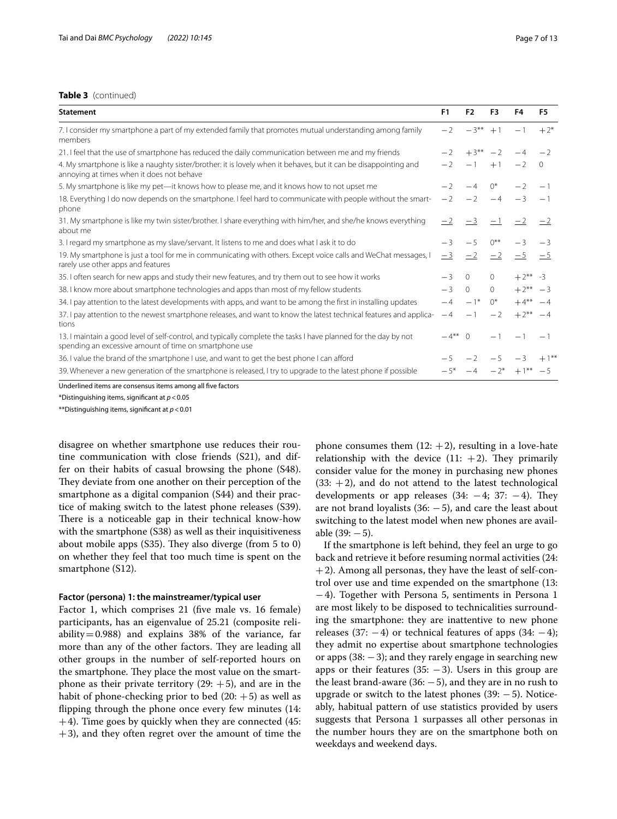## **Table 3** (continued)

| <b>Statement</b>                                                                                                                                                          | F1     | F <sub>2</sub>     | F3       | F4         | F <sub>5</sub> |
|---------------------------------------------------------------------------------------------------------------------------------------------------------------------------|--------|--------------------|----------|------------|----------------|
| 7. I consider my smartphone a part of my extended family that promotes mutual understanding among family<br>members                                                       | $-2$   | $-3**$             | $+1$     | $-1$       | $+2^{*}$       |
| 21. I feel that the use of smartphone has reduced the daily communication between me and my friends                                                                       | $-2$   | $+3**$             | $-2$     | $-4$       | $-2$           |
| 4. My smartphone is like a naughty sister/brother: it is lovely when it behaves, but it can be disappointing and<br>annoying at times when it does not behave             | $-2$   | $-1$               | $+1$     | $-2$       | $\mathbf{0}$   |
| 5. My smartphone is like my pet—it knows how to please me, and it knows how to not upset me                                                                               |        | $-4$               | $()^*$   | $-2$       | $-1$           |
| 18. Everything I do now depends on the smartphone. I feel hard to communicate with people without the smart-<br>phone                                                     | $-2$   | $-2$               | $-4$     | $-3$       | $-1$           |
| 31. My smartphone is like my twin sister/brother. I share everything with him/her, and she/he knows everything<br>about me                                                | $-2$   | $-3$               |          | $-1 -2 -2$ |                |
| 3. I regard my smartphone as my slave/servant. It listens to me and does what I ask it to do                                                                              |        | $-5$               | $0***$   | $-3$       | $-3$           |
| 19. My smartphone is just a tool for me in communicating with others. Except voice calls and WeChat messages, I<br>rarely use other apps and features                     | $-3$   | $=$ $\overline{2}$ | $=$ 2    | $=$ 5      | $-5$           |
| 35. I often search for new apps and study their new features, and try them out to see how it works                                                                        | $-3$   | $\Omega$           | $\Omega$ | $+2**$ -3  |                |
| 38. I know more about smartphone technologies and apps than most of my fellow students                                                                                    | $-3$   | $\Omega$           | $\Omega$ | $+2***$ -3 |                |
| 34. I pay attention to the latest developments with apps, and want to be among the first in installing updates                                                            | $-4$   | $-1*$              | $()^*$   | $+4***$    | $-4$           |
| 37. I pay attention to the newest smartphone releases, and want to know the latest technical features and applica-<br>tions                                               | $-4$   | $\qquad \qquad -$  | $-2$     | $+2***$    | $-4$           |
| 13. I maintain a good level of self-control, and typically complete the tasks I have planned for the day by not<br>spending an excessive amount of time on smartphone use | $-4**$ | $\Omega$           | $-1$     | $-1$       | — 1            |
| 36. I value the brand of the smartphone I use, and want to get the best phone I can afford                                                                                |        | $-2$               | $-5$     | $-3$       | $+1***$        |
| 39. Whenever a new generation of the smartphone is released, I try to upgrade to the latest phone if possible                                                             |        | $-4$               | $-2^{*}$ | $+1***$    | $-5$           |
| $\mathbf{r}$ and $\mathbf{r}$ and $\mathbf{r}$ and $\mathbf{r}$<br><b>Contract Contract Contract Contract</b><br>$\mathbf{u}$ $\mathbf{v}$                                |        |                    |          |            |                |

Underlined items are consensus items among all fve factors

\*Distinguishing items, signifcant at *p*<0.05

\*\*Distinguishing items, signifcant at *p*<0.01

disagree on whether smartphone use reduces their routine communication with close friends (S21), and differ on their habits of casual browsing the phone (S48). They deviate from one another on their perception of the smartphone as a digital companion (S44) and their practice of making switch to the latest phone releases (S39). There is a noticeable gap in their technical know-how with the smartphone (S38) as well as their inquisitiveness about mobile apps  $(S35)$ . They also diverge (from 5 to 0) on whether they feel that too much time is spent on the smartphone (S12).

## **Factor (persona) 1: the mainstreamer/typical user**

Factor 1, which comprises 21 (five male vs. 16 female) participants, has an eigenvalue of 25.21 (composite reliability=0.988) and explains  $38\%$  of the variance, far more than any of the other factors. They are leading all other groups in the number of self-reported hours on the smartphone. They place the most value on the smartphone as their private territory  $(29: +5)$ , and are in the habit of phone-checking prior to bed  $(20: +5)$  as well as fipping through the phone once every few minutes (14:  $+4$ ). Time goes by quickly when they are connected (45:  $+3$ ), and they often regret over the amount of time the phone consumes them  $(12: +2)$ , resulting in a love-hate relationship with the device  $(11: +2)$ . They primarily consider value for the money in purchasing new phones  $(33: +2)$ , and do not attend to the latest technological developments or app releases  $(34: -4; 37: -4)$ . They are not brand loyalists  $(36: -5)$ , and care the least about switching to the latest model when new phones are available  $(39: -5)$ .

If the smartphone is left behind, they feel an urge to go back and retrieve it before resuming normal activities (24: +2). Among all personas, they have the least of self-control over use and time expended on the smartphone (13: −4). Together with Persona 5, sentiments in Persona 1 are most likely to be disposed to technicalities surrounding the smartphone: they are inattentive to new phone releases (37:  $-4$ ) or technical features of apps (34:  $-4$ ); they admit no expertise about smartphone technologies or apps  $(38: -3)$ ; and they rarely engage in searching new apps or their features (35:  $-3$ ). Users in this group are the least brand-aware  $(36: -5)$ , and they are in no rush to upgrade or switch to the latest phones (39: −5). Noticeably, habitual pattern of use statistics provided by users suggests that Persona 1 surpasses all other personas in the number hours they are on the smartphone both on weekdays and weekend days.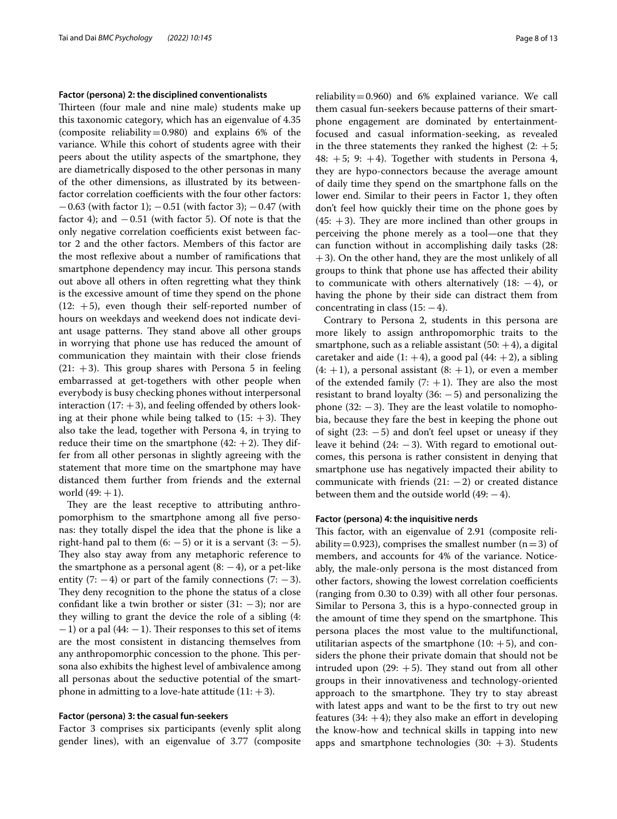#### **Factor (persona) 2: the disciplined conventionalists**

Thirteen (four male and nine male) students make up this taxonomic category, which has an eigenvalue of 4.35 (composite reliability=0.980) and explains  $6\%$  of the variance. While this cohort of students agree with their peers about the utility aspects of the smartphone, they are diametrically disposed to the other personas in many of the other dimensions, as illustrated by its betweenfactor correlation coefficients with the four other factors:  $-0.63$  (with factor 1);  $-0.51$  (with factor 3);  $-0.47$  (with factor 4); and  $-0.51$  (with factor 5). Of note is that the only negative correlation coefficients exist between factor 2 and the other factors. Members of this factor are the most refexive about a number of ramifcations that smartphone dependency may incur. This persona stands out above all others in often regretting what they think is the excessive amount of time they spend on the phone  $(12: +5)$ , even though their self-reported number of hours on weekdays and weekend does not indicate deviant usage patterns. They stand above all other groups in worrying that phone use has reduced the amount of communication they maintain with their close friends  $(21: +3)$ . This group shares with Persona 5 in feeling embarrassed at get-togethers with other people when everybody is busy checking phones without interpersonal interaction  $(17: +3)$ , and feeling offended by others looking at their phone while being talked to  $(15: +3)$ . They also take the lead, together with Persona 4, in trying to reduce their time on the smartphone  $(42: +2)$ . They differ from all other personas in slightly agreeing with the statement that more time on the smartphone may have distanced them further from friends and the external world  $(49: +1)$ .

They are the least receptive to attributing anthropomorphism to the smartphone among all fve personas: they totally dispel the idea that the phone is like a right-hand pal to them  $(6: -5)$  or it is a servant  $(3: -5)$ . They also stay away from any metaphoric reference to the smartphone as a personal agent  $(8: -4)$ , or a pet-like entity (7:  $-4$ ) or part of the family connections (7:  $-3$ ). They deny recognition to the phone the status of a close confidant like a twin brother or sister  $(31: -3)$ ; nor are they willing to grant the device the role of a sibling (4:  $-1$ ) or a pal (44:  $-1$ ). Their responses to this set of items are the most consistent in distancing themselves from any anthropomorphic concession to the phone. This persona also exhibits the highest level of ambivalence among all personas about the seductive potential of the smartphone in admitting to a love-hate attitude  $(11: +3)$ .

#### **Factor (persona) 3: the casual fun‑seekers**

Factor 3 comprises six participants (evenly split along gender lines), with an eigenvalue of 3.77 (composite reliability=0.960) and 6% explained variance. We call them casual fun-seekers because patterns of their smartphone engagement are dominated by entertainmentfocused and casual information-seeking, as revealed in the three statements they ranked the highest  $(2: +5;$ 48:  $+5$ ; 9:  $+4$ ). Together with students in Persona 4, they are hypo-connectors because the average amount of daily time they spend on the smartphone falls on the lower end. Similar to their peers in Factor 1, they often don't feel how quickly their time on the phone goes by  $(45: +3)$ . They are more inclined than other groups in perceiving the phone merely as a tool—one that they can function without in accomplishing daily tasks (28: +3). On the other hand, they are the most unlikely of all groups to think that phone use has afected their ability to communicate with others alternatively (18: −4), or having the phone by their side can distract them from concentrating in class  $(15: -4)$ .

Contrary to Persona 2, students in this persona are more likely to assign anthropomorphic traits to the smartphone, such as a reliable assistant  $(50: +4)$ , a digital caretaker and aide  $(1: +4)$ , a good pal  $(44: +2)$ , a sibling  $(4: +1)$ , a personal assistant  $(8: +1)$ , or even a member of the extended family  $(7: +1)$ . They are also the most resistant to brand loyalty  $(36: -5)$  and personalizing the phone  $(32: -3)$ . They are the least volatile to nomophobia, because they fare the best in keeping the phone out of sight  $(23: -5)$  and don't feel upset or uneasy if they leave it behind  $(24: -3)$ . With regard to emotional outcomes, this persona is rather consistent in denying that smartphone use has negatively impacted their ability to communicate with friends  $(21: -2)$  or created distance between them and the outside world  $(49: -4)$ .

## **Factor (persona) 4: the inquisitive nerds**

This factor, with an eigenvalue of 2.91 (composite reliability = 0.923), comprises the smallest number (n=3) of members, and accounts for 4% of the variance. Noticeably, the male-only persona is the most distanced from other factors, showing the lowest correlation coefficients (ranging from 0.30 to 0.39) with all other four personas. Similar to Persona 3, this is a hypo-connected group in the amount of time they spend on the smartphone. This persona places the most value to the multifunctional, utilitarian aspects of the smartphone  $(10: +5)$ , and considers the phone their private domain that should not be intruded upon  $(29: +5)$ . They stand out from all other groups in their innovativeness and technology-oriented approach to the smartphone. They try to stay abreast with latest apps and want to be the frst to try out new features  $(34: +4)$ ; they also make an effort in developing the know-how and technical skills in tapping into new apps and smartphone technologies  $(30: +3)$ . Students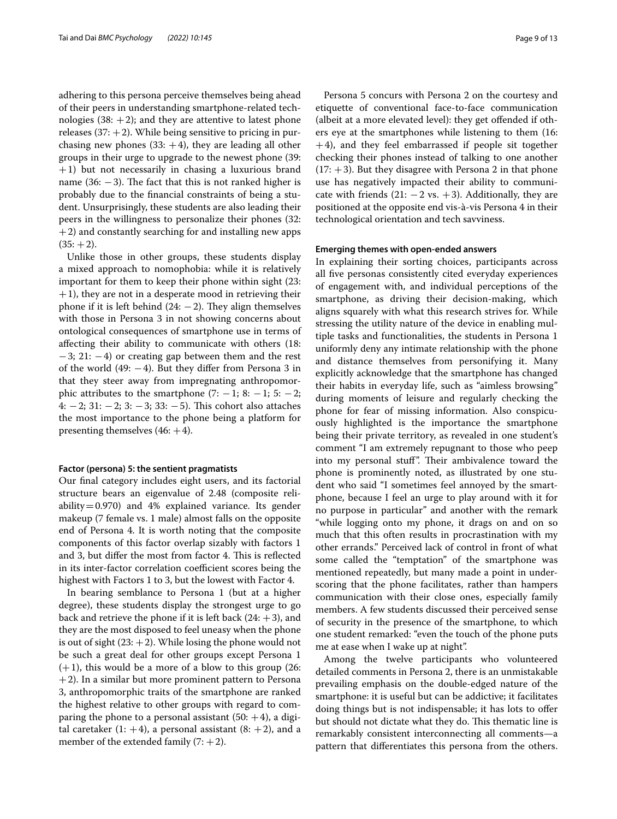adhering to this persona perceive themselves being ahead of their peers in understanding smartphone-related technologies  $(38: +2)$ ; and they are attentive to latest phone releases  $(37: +2)$ . While being sensitive to pricing in purchasing new phones  $(33: +4)$ , they are leading all other groups in their urge to upgrade to the newest phone (39: +1) but not necessarily in chasing a luxurious brand name  $(36: -3)$ . The fact that this is not ranked higher is probably due to the fnancial constraints of being a student. Unsurprisingly, these students are also leading their peers in the willingness to personalize their phones (32:  $+2$ ) and constantly searching for and installing new apps  $(35: +2)$ .

Unlike those in other groups, these students display a mixed approach to nomophobia: while it is relatively important for them to keep their phone within sight (23:  $+1$ ), they are not in a desperate mood in retrieving their phone if it is left behind  $(24: -2)$ . They align themselves with those in Persona 3 in not showing concerns about ontological consequences of smartphone use in terms of afecting their ability to communicate with others (18: −3; 21: −4) or creating gap between them and the rest of the world  $(49: -4)$ . But they differ from Persona 3 in that they steer away from impregnating anthropomorphic attributes to the smartphone  $(7: -1; 8: -1; 5: -2;$ 4: −2; 31: −2; 3: −3; 33: −5). Tis cohort also attaches the most importance to the phone being a platform for presenting themselves  $(46: +4)$ .

#### **Factor (persona) 5: the sentient pragmatists**

Our fnal category includes eight users, and its factorial structure bears an eigenvalue of 2.48 (composite reliability=0.970) and 4% explained variance. Its gender makeup (7 female vs. 1 male) almost falls on the opposite end of Persona 4. It is worth noting that the composite components of this factor overlap sizably with factors 1 and 3, but differ the most from factor 4. This is reflected in its inter-factor correlation coefficient scores being the highest with Factors 1 to 3, but the lowest with Factor 4.

In bearing semblance to Persona 1 (but at a higher degree), these students display the strongest urge to go back and retrieve the phone if it is left back  $(24: +3)$ , and they are the most disposed to feel uneasy when the phone is out of sight  $(23: +2)$ . While losing the phone would not be such a great deal for other groups except Persona 1  $(+1)$ , this would be a more of a blow to this group (26:  $+2$ ). In a similar but more prominent pattern to Persona 3, anthropomorphic traits of the smartphone are ranked the highest relative to other groups with regard to comparing the phone to a personal assistant  $(50: +4)$ , a digital caretaker  $(1: +4)$ , a personal assistant  $(8: +2)$ , and a member of the extended family  $(7: +2)$ .

Persona 5 concurs with Persona 2 on the courtesy and etiquette of conventional face-to-face communication (albeit at a more elevated level): they get ofended if others eye at the smartphones while listening to them (16: +4), and they feel embarrassed if people sit together checking their phones instead of talking to one another  $(17: +3)$ . But they disagree with Persona 2 in that phone use has negatively impacted their ability to communicate with friends  $(21: -2 \text{ vs. } +3)$ . Additionally, they are positioned at the opposite end vis-à-vis Persona 4 in their technological orientation and tech savviness.

#### **Emerging themes with open‑ended answers**

In explaining their sorting choices, participants across all fve personas consistently cited everyday experiences of engagement with, and individual perceptions of the smartphone, as driving their decision-making, which aligns squarely with what this research strives for. While stressing the utility nature of the device in enabling multiple tasks and functionalities, the students in Persona 1 uniformly deny any intimate relationship with the phone and distance themselves from personifying it. Many explicitly acknowledge that the smartphone has changed their habits in everyday life, such as "aimless browsing" during moments of leisure and regularly checking the phone for fear of missing information. Also conspicuously highlighted is the importance the smartphone being their private territory, as revealed in one student's comment "I am extremely repugnant to those who peep into my personal stuff". Their ambivalence toward the phone is prominently noted, as illustrated by one student who said "I sometimes feel annoyed by the smartphone, because I feel an urge to play around with it for no purpose in particular" and another with the remark "while logging onto my phone, it drags on and on so much that this often results in procrastination with my other errands." Perceived lack of control in front of what some called the "temptation" of the smartphone was mentioned repeatedly, but many made a point in underscoring that the phone facilitates, rather than hampers communication with their close ones, especially family members. A few students discussed their perceived sense of security in the presence of the smartphone, to which one student remarked: "even the touch of the phone puts me at ease when I wake up at night".

Among the twelve participants who volunteered detailed comments in Persona 2, there is an unmistakable prevailing emphasis on the double-edged nature of the smartphone: it is useful but can be addictive; it facilitates doing things but is not indispensable; it has lots to ofer but should not dictate what they do. This thematic line is remarkably consistent interconnecting all comments—a pattern that diferentiates this persona from the others.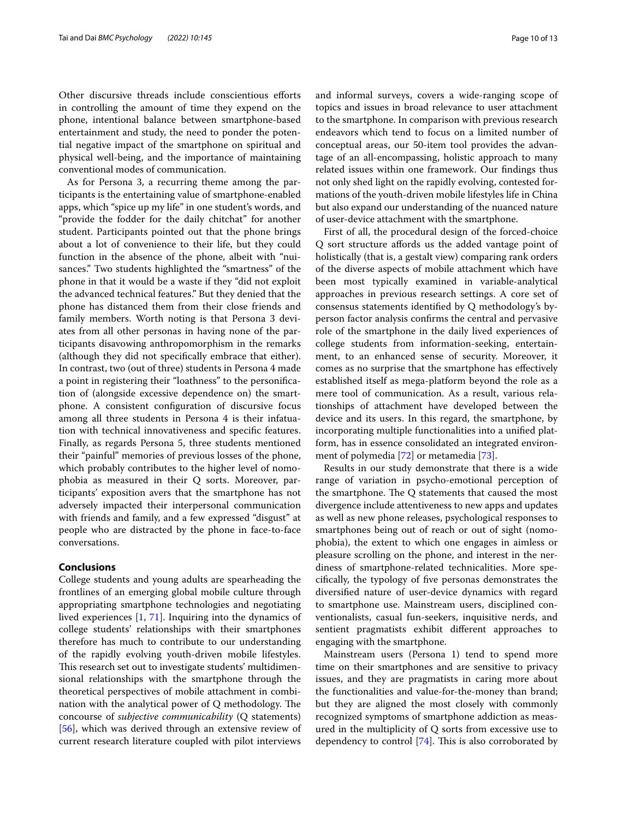Other discursive threads include conscientious eforts in controlling the amount of time they expend on the phone, intentional balance between smartphone-based entertainment and study, the need to ponder the potential negative impact of the smartphone on spiritual and physical well-being, and the importance of maintaining conventional modes of communication.

As for Persona 3, a recurring theme among the participants is the entertaining value of smartphone-enabled apps, which "spice up my life" in one student's words, and "provide the fodder for the daily chitchat" for another student. Participants pointed out that the phone brings about a lot of convenience to their life, but they could function in the absence of the phone, albeit with "nuisances." Two students highlighted the "smartness" of the phone in that it would be a waste if they "did not exploit the advanced technical features." But they denied that the phone has distanced them from their close friends and family members. Worth noting is that Persona 3 deviates from all other personas in having none of the participants disavowing anthropomorphism in the remarks (although they did not specifcally embrace that either). In contrast, two (out of three) students in Persona 4 made a point in registering their "loathness" to the personifcation of (alongside excessive dependence on) the smartphone. A consistent confguration of discursive focus among all three students in Persona 4 is their infatuation with technical innovativeness and specifc features. Finally, as regards Persona 5, three students mentioned their "painful" memories of previous losses of the phone, which probably contributes to the higher level of nomophobia as measured in their Q sorts. Moreover, participants' exposition avers that the smartphone has not adversely impacted their interpersonal communication with friends and family, and a few expressed "disgust" at people who are distracted by the phone in face-to-face conversations.

## **Conclusions**

College students and young adults are spearheading the frontlines of an emerging global mobile culture through appropriating smartphone technologies and negotiating lived experiences [[1,](#page-11-0) [71](#page-12-21)]. Inquiring into the dynamics of college students' relationships with their smartphones therefore has much to contribute to our understanding of the rapidly evolving youth-driven mobile lifestyles. This research set out to investigate students' multidimensional relationships with the smartphone through the theoretical perspectives of mobile attachment in combination with the analytical power of  $Q$  methodology. The concourse of *subjective communicability* (Q statements) [[56\]](#page-12-6), which was derived through an extensive review of current research literature coupled with pilot interviews and informal surveys, covers a wide-ranging scope of topics and issues in broad relevance to user attachment to the smartphone. In comparison with previous research endeavors which tend to focus on a limited number of conceptual areas, our 50-item tool provides the advantage of an all-encompassing, holistic approach to many related issues within one framework. Our fndings thus not only shed light on the rapidly evolving, contested formations of the youth-driven mobile lifestyles life in China but also expand our understanding of the nuanced nature of user-device attachment with the smartphone.

First of all, the procedural design of the forced-choice Q sort structure afords us the added vantage point of holistically (that is, a gestalt view) comparing rank orders of the diverse aspects of mobile attachment which have been most typically examined in variable-analytical approaches in previous research settings. A core set of consensus statements identifed by Q methodology's byperson factor analysis confrms the central and pervasive role of the smartphone in the daily lived experiences of college students from information-seeking, entertainment, to an enhanced sense of security. Moreover, it comes as no surprise that the smartphone has efectively established itself as mega-platform beyond the role as a mere tool of communication. As a result, various relationships of attachment have developed between the device and its users. In this regard, the smartphone, by incorporating multiple functionalities into a unifed platform, has in essence consolidated an integrated environment of polymedia [\[72\]](#page-12-22) or metamedia [[73\]](#page-12-23).

Results in our study demonstrate that there is a wide range of variation in psycho-emotional perception of the smartphone. The  $Q$  statements that caused the most divergence include attentiveness to new apps and updates as well as new phone releases, psychological responses to smartphones being out of reach or out of sight (nomophobia), the extent to which one engages in aimless or pleasure scrolling on the phone, and interest in the nerdiness of smartphone-related technicalities. More specifcally, the typology of fve personas demonstrates the diversifed nature of user-device dynamics with regard to smartphone use. Mainstream users, disciplined conventionalists, casual fun-seekers, inquisitive nerds, and sentient pragmatists exhibit diferent approaches to engaging with the smartphone.

Mainstream users (Persona 1) tend to spend more time on their smartphones and are sensitive to privacy issues, and they are pragmatists in caring more about the functionalities and value-for-the-money than brand; but they are aligned the most closely with commonly recognized symptoms of smartphone addiction as measured in the multiplicity of Q sorts from excessive use to dependency to control  $[74]$  $[74]$ . This is also corroborated by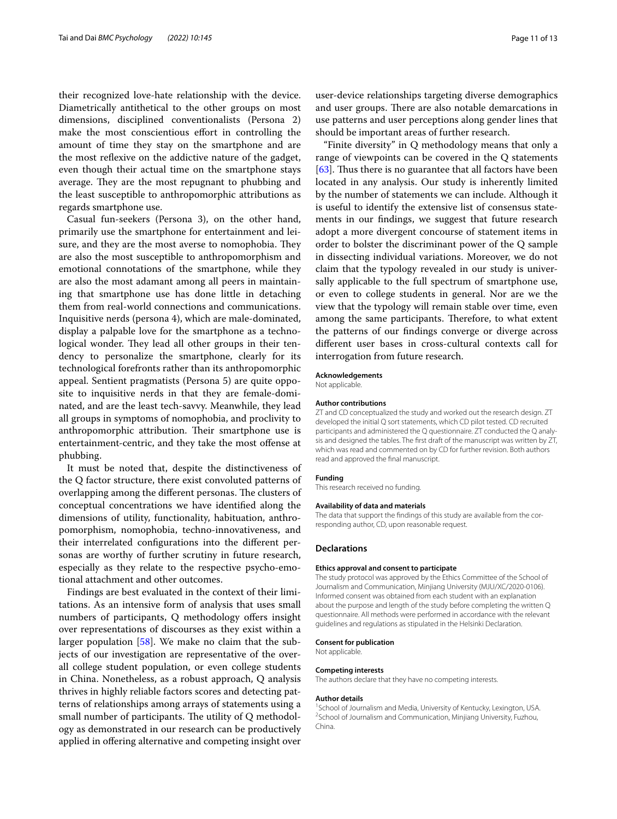their recognized love-hate relationship with the device. Diametrically antithetical to the other groups on most dimensions, disciplined conventionalists (Persona 2) make the most conscientious effort in controlling the amount of time they stay on the smartphone and are the most refexive on the addictive nature of the gadget, even though their actual time on the smartphone stays average. They are the most repugnant to phubbing and the least susceptible to anthropomorphic attributions as regards smartphone use.

Casual fun-seekers (Persona 3), on the other hand, primarily use the smartphone for entertainment and leisure, and they are the most averse to nomophobia. They are also the most susceptible to anthropomorphism and emotional connotations of the smartphone, while they are also the most adamant among all peers in maintaining that smartphone use has done little in detaching them from real-world connections and communications. Inquisitive nerds (persona 4), which are male-dominated, display a palpable love for the smartphone as a technological wonder. They lead all other groups in their tendency to personalize the smartphone, clearly for its technological forefronts rather than its anthropomorphic appeal. Sentient pragmatists (Persona 5) are quite opposite to inquisitive nerds in that they are female-dominated, and are the least tech-savvy. Meanwhile, they lead all groups in symptoms of nomophobia, and proclivity to anthropomorphic attribution. Their smartphone use is entertainment-centric, and they take the most ofense at phubbing.

It must be noted that, despite the distinctiveness of the Q factor structure, there exist convoluted patterns of overlapping among the different personas. The clusters of conceptual concentrations we have identifed along the dimensions of utility, functionality, habituation, anthropomorphism, nomophobia, techno-innovativeness, and their interrelated confgurations into the diferent personas are worthy of further scrutiny in future research, especially as they relate to the respective psycho-emotional attachment and other outcomes.

Findings are best evaluated in the context of their limitations. As an intensive form of analysis that uses small numbers of participants, Q methodology offers insight over representations of discourses as they exist within a larger population [\[58\]](#page-12-8). We make no claim that the subjects of our investigation are representative of the overall college student population, or even college students in China. Nonetheless, as a robust approach, Q analysis thrives in highly reliable factors scores and detecting patterns of relationships among arrays of statements using a small number of participants. The utility of  $Q$  methodology as demonstrated in our research can be productively applied in ofering alternative and competing insight over

user-device relationships targeting diverse demographics and user groups. There are also notable demarcations in use patterns and user perceptions along gender lines that should be important areas of further research.

"Finite diversity" in Q methodology means that only a range of viewpoints can be covered in the Q statements  $[63]$  $[63]$ . Thus there is no guarantee that all factors have been located in any analysis. Our study is inherently limited by the number of statements we can include. Although it is useful to identify the extensive list of consensus statements in our fndings, we suggest that future research adopt a more divergent concourse of statement items in order to bolster the discriminant power of the Q sample in dissecting individual variations. Moreover, we do not claim that the typology revealed in our study is universally applicable to the full spectrum of smartphone use, or even to college students in general. Nor are we the view that the typology will remain stable over time, even among the same participants. Therefore, to what extent the patterns of our fndings converge or diverge across diferent user bases in cross-cultural contexts call for interrogation from future research.

#### **Acknowledgements**

Not applicable.

#### **Author contributions**

ZT and CD conceptualized the study and worked out the research design. ZT developed the initial Q sort statements, which CD pilot tested. CD recruited participants and administered the Q questionnaire. ZT conducted the Q analysis and designed the tables. The frst draft of the manuscript was written by ZT, which was read and commented on by CD for further revision. Both authors read and approved the fnal manuscript.

#### **Funding**

This research received no funding.

#### **Availability of data and materials**

The data that support the fndings of this study are available from the corresponding author, CD, upon reasonable request.

#### **Declarations**

#### **Ethics approval and consent to participate**

The study protocol was approved by the Ethics Committee of the School of Journalism and Communication, Minjiang University (MJU/XC/2020-0106). Informed consent was obtained from each student with an explanation about the purpose and length of the study before completing the written Q questionnaire. All methods were performed in accordance with the relevant guidelines and regulations as stipulated in the Helsinki Declaration.

#### **Consent for publication**

Not applicable.

#### **Competing interests**

The authors declare that they have no competing interests.

#### **Author details**

<sup>1</sup> School of Journalism and Media, University of Kentucky, Lexington, USA. <sup>1</sup>School of Journalism and Media, University of Kentucky, Lexington, USA.<br><sup>2</sup>School of Journalism and Communication, Minjiang University, Fuzhou, China.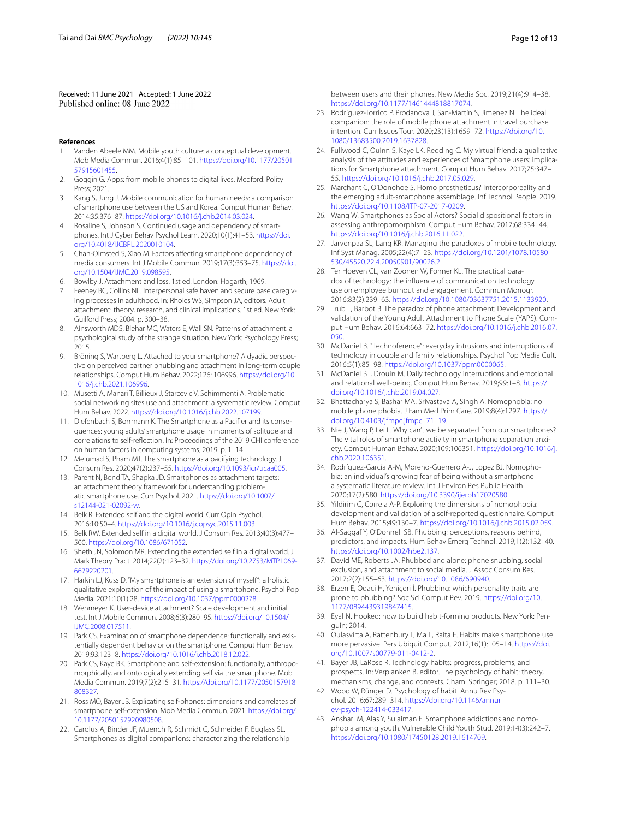Received: 11 June 2021 Accepted: 1 June 2022<br>Published online: 08 June 2022

#### **References**

- <span id="page-11-0"></span>Vanden Abeele MM. Mobile youth culture: a conceptual development. Mob Media Commun. 2016;4(1):85–101. [https://doi.org/10.1177/20501](https://doi.org/10.1177/2050157915601455) [57915601455.](https://doi.org/10.1177/2050157915601455)
- <span id="page-11-1"></span>2. Goggin G. Apps: from mobile phones to digital lives. Medford: Polity Press; 2021.
- <span id="page-11-2"></span>3. Kang S, Jung J. Mobile communication for human needs: a comparison of smartphone use between the US and Korea. Comput Human Behav. 2014;35:376–87.<https://doi.org/10.1016/j.chb.2014.03.024>.
- <span id="page-11-3"></span>4. Rosaline S, Johnson S. Continued usage and dependency of smartphones. Int J Cyber Behav Psychol Learn. 2020;10(1):41–53. [https://doi.](https://doi.org/10.4018/IJCBPL.2020010104) [org/10.4018/IJCBPL.2020010104.](https://doi.org/10.4018/IJCBPL.2020010104)
- <span id="page-11-4"></span>5. Chan-Olmsted S, Xiao M. Factors afecting smartphone dependency of media consumers. Int J Mobile Commun. 2019;17(3):353–75. [https://doi.](https://doi.org/10.1504/IJMC.2019.098595) [org/10.1504/IJMC.2019.098595.](https://doi.org/10.1504/IJMC.2019.098595)
- <span id="page-11-5"></span>6. Bowlby J. Attachment and loss. 1st ed. London: Hogarth; 1969.
- <span id="page-11-6"></span>7. Feeney BC, Collins NL. Interpersonal safe haven and secure base caregiving processes in adulthood. In: Rholes WS, Simpson JA, editors. Adult attachment: theory, research, and clinical implications. 1st ed. New York: Guilford Press; 2004. p. 300–38.
- <span id="page-11-7"></span>8. Ainsworth MDS, Blehar MC, Waters E, Wall SN. Patterns of attachment: a psychological study of the strange situation. New York: Psychology Press; 2015.
- <span id="page-11-8"></span>9. Bröning S, Wartberg L. Attached to your smartphone? A dyadic perspective on perceived partner phubbing and attachment in long-term couple relationships. Comput Hum Behav. 2022;126: 106996. [https://doi.org/10.](https://doi.org/10.1016/j.chb.2021.106996) [1016/j.chb.2021.106996](https://doi.org/10.1016/j.chb.2021.106996).
- <span id="page-11-9"></span>10. Musetti A, Manari T, Billieux J, Starcevic V, Schimmenti A. Problematic social networking sites use and attachment: a systematic review. Comput Hum Behav. 2022. [https://doi.org/10.1016/j.chb.2022.107199.](https://doi.org/10.1016/j.chb.2022.107199)
- <span id="page-11-10"></span>11. Diefenbach S, Borrmann K. The Smartphone as a Pacifer and its consequences: young adults' smartphone usage in moments of solitude and correlations to self-refection. In: Proceedings of the 2019 CHI conference on human factors in computing systems; 2019. p. 1–14.
- <span id="page-11-11"></span>12. Melumad S, Pham MT. The smartphone as a pacifying technology. J Consum Res. 2020;47(2):237–55. [https://doi.org/10.1093/jcr/ucaa005.](https://doi.org/10.1093/jcr/ucaa005)
- <span id="page-11-12"></span>13. Parent N, Bond TA, Shapka JD. Smartphones as attachment targets: an attachment theory framework for understanding problematic smartphone use. Curr Psychol. 2021. [https://doi.org/10.1007/](https://doi.org/10.1007/s12144-021-02092-w) [s12144-021-02092-w.](https://doi.org/10.1007/s12144-021-02092-w)
- <span id="page-11-13"></span>14. Belk R. Extended self and the digital world. Curr Opin Psychol. 2016;10:50–4. <https://doi.org/10.1016/j.copsyc.2015.11.003>.
- 15. Belk RW. Extended self in a digital world. J Consum Res. 2013;40(3):477– 500. <https://doi.org/10.1086/671052>.
- <span id="page-11-14"></span>16. Sheth JN, Solomon MR. Extending the extended self in a digital world. J Mark Theory Pract. 2014;22(2):123–32. [https://doi.org/10.2753/MTP1069-](https://doi.org/10.2753/MTP1069-6679220201) [6679220201](https://doi.org/10.2753/MTP1069-6679220201).
- <span id="page-11-15"></span>17. Harkin LJ, Kuss D. "My smartphone is an extension of myself": a holistic qualitative exploration of the impact of using a smartphone. Psychol Pop Media. 2021;10(1):28. [https://doi.org/10.1037/ppm0000278.](https://doi.org/10.1037/ppm0000278)
- <span id="page-11-16"></span>18. Wehmeyer K. User-device attachment? Scale development and initial test. Int J Mobile Commun. 2008;6(3):280–95. [https://doi.org/10.1504/](https://doi.org/10.1504/IJMC.2008.017511) [IJMC.2008.017511](https://doi.org/10.1504/IJMC.2008.017511).
- <span id="page-11-17"></span>19. Park CS. Examination of smartphone dependence: functionally and existentially dependent behavior on the smartphone. Comput Hum Behav. 2019;93:123–8. <https://doi.org/10.1016/j.chb.2018.12.022>.
- 20. Park CS, Kaye BK. Smartphone and self-extension: functionally, anthropomorphically, and ontologically extending self via the smartphone. Mob Media Commun. 2019;7(2):215–31. [https://doi.org/10.1177/2050157918](https://doi.org/10.1177/2050157918808327) [808327.](https://doi.org/10.1177/2050157918808327)
- <span id="page-11-18"></span>21. Ross MQ, Bayer JB. Explicating self-phones: dimensions and correlates of smartphone self-extension. Mob Media Commun. 2021. [https://doi.org/](https://doi.org/10.1177/2050157920980508) [10.1177/2050157920980508](https://doi.org/10.1177/2050157920980508).
- <span id="page-11-19"></span>22. Carolus A, Binder JF, Muench R, Schmidt C, Schneider F, Buglass SL. Smartphones as digital companions: characterizing the relationship

between users and their phones. New Media Soc. 2019;21(4):914–38. <https://doi.org/10.1177/1461444818817074>.

- <span id="page-11-20"></span>23. Rodríguez-Torrico P, Prodanova J, San-Martín S, Jimenez N. The ideal companion: the role of mobile phone attachment in travel purchase intention. Curr Issues Tour. 2020;23(13):1659–72. [https://doi.org/10.](https://doi.org/10.1080/13683500.2019.1637828) [1080/13683500.2019.1637828.](https://doi.org/10.1080/13683500.2019.1637828)
- <span id="page-11-21"></span>24. Fullwood C, Quinn S, Kaye LK, Redding C. My virtual friend: a qualitative analysis of the attitudes and experiences of Smartphone users: implications for Smartphone attachment. Comput Hum Behav. 2017;75:347– 55. [https://doi.org/10.1016/j.chb.2017.05.029.](https://doi.org/10.1016/j.chb.2017.05.029)
- <span id="page-11-22"></span>25. Marchant C, O'Donohoe S. Homo prostheticus? Intercorporeality and the emerging adult-smartphone assemblage. Inf Technol People. 2019. [https://doi.org/10.1108/ITP-07-2017-0209.](https://doi.org/10.1108/ITP-07-2017-0209)
- <span id="page-11-23"></span>26. Wang W. Smartphones as Social Actors? Social dispositional factors in assessing anthropomorphism. Comput Hum Behav. 2017;68:334–44. [https://doi.org/10.1016/j.chb.2016.11.022.](https://doi.org/10.1016/j.chb.2016.11.022)
- <span id="page-11-24"></span>27. Jarvenpaa SL, Lang KR. Managing the paradoxes of mobile technology. Inf Syst Manag. 2005;22(4):7–23. [https://doi.org/10.1201/1078.10580](https://doi.org/10.1201/1078.10580530/45520.22.4.20050901/90026.2) [530/45520.22.4.20050901/90026.2.](https://doi.org/10.1201/1078.10580530/45520.22.4.20050901/90026.2)
- 28. Ter Hoeven CL, van Zoonen W, Fonner KL. The practical paradox of technology: the infuence of communication technology use on employee burnout and engagement. Commun Monogr. 2016;83(2):239–63. [https://doi.org/10.1080/03637751.2015.1133920.](https://doi.org/10.1080/03637751.2015.1133920)
- <span id="page-11-25"></span>29. Trub L, Barbot B. The paradox of phone attachment: Development and validation of the Young Adult Attachment to Phone Scale (YAPS). Comput Hum Behav. 2016;64:663–72. [https://doi.org/10.1016/j.chb.2016.07.](https://doi.org/10.1016/j.chb.2016.07.050) [050](https://doi.org/10.1016/j.chb.2016.07.050).
- <span id="page-11-26"></span>30. McDaniel B. "Technoference": everyday intrusions and interruptions of technology in couple and family relationships. Psychol Pop Media Cult. 2016;5(1):85–98. [https://doi.org/10.1037/ppm0000065.](https://doi.org/10.1037/ppm0000065)
- <span id="page-11-27"></span>31. McDaniel BT, Drouin M. Daily technology interruptions and emotional and relational well-being. Comput Hum Behav. 2019;99:1–8. [https://](https://doi.org/10.1016/j.chb.2019.04.027) [doi.org/10.1016/j.chb.2019.04.027.](https://doi.org/10.1016/j.chb.2019.04.027)
- <span id="page-11-28"></span>32. Bhattacharya S, Bashar MA, Srivastava A, Singh A. Nomophobia: no mobile phone phobia. J Fam Med Prim Care. 2019;8(4):1297. [https://](https://doi.org/10.4103/jfmpc.jfmpc_71_19) [doi.org/10.4103/jfmpc.jfmpc\\_71\\_19.](https://doi.org/10.4103/jfmpc.jfmpc_71_19)
- 33. Nie J, Wang P, Lei L. Why can't we be separated from our smartphones? The vital roles of smartphone activity in smartphone separation anxiety. Comput Human Behav. 2020;109:106351. [https://doi.org/10.1016/j.](https://doi.org/10.1016/j.chb.2020.106351) [chb.2020.106351.](https://doi.org/10.1016/j.chb.2020.106351)
- 34. Rodríguez-García A-M, Moreno-Guerrero A-J, Lopez BJ. Nomophobia: an individual's growing fear of being without a smartphone a systematic literature review. Int J Environ Res Public Health. 2020;17(2):580. [https://doi.org/10.3390/ijerph17020580.](https://doi.org/10.3390/ijerph17020580)
- <span id="page-11-29"></span>35. Yildirim C, Correia A-P. Exploring the dimensions of nomophobia: development and validation of a self-reported questionnaire. Comput Hum Behav. 2015;49:130–7. [https://doi.org/10.1016/j.chb.2015.02.059.](https://doi.org/10.1016/j.chb.2015.02.059)
- <span id="page-11-30"></span>36. Al-Saggaf Y, O'Donnell SB. Phubbing: perceptions, reasons behind, predictors, and impacts. Hum Behav Emerg Technol. 2019;1(2):132–40. [https://doi.org/10.1002/hbe2.137.](https://doi.org/10.1002/hbe2.137)
- 37. David ME, Roberts JA. Phubbed and alone: phone snubbing, social exclusion, and attachment to social media. J Assoc Consum Res. 2017;2(2):155–63.<https://doi.org/10.1086/690940>.
- <span id="page-11-31"></span>38. Erzen E, Odaci H, Yeniçeri İ. Phubbing: which personality traits are prone to phubbing? Soc Sci Comput Rev. 2019. [https://doi.org/10.](https://doi.org/10.1177/0894439319847415) [1177/0894439319847415.](https://doi.org/10.1177/0894439319847415)
- <span id="page-11-32"></span>39. Eyal N. Hooked: how to build habit-forming products. New York: Penguin; 2014.
- <span id="page-11-33"></span>40. Oulasvirta A, Rattenbury T, Ma L, Raita E. Habits make smartphone use more pervasive. Pers Ubiquit Comput. 2012;16(1):105–14. [https://doi.](https://doi.org/10.1007/s00779-011-0412-2) [org/10.1007/s00779-011-0412-2.](https://doi.org/10.1007/s00779-011-0412-2)
- <span id="page-11-34"></span>41. Bayer JB, LaRose R. Technology habits: progress, problems, and prospects. In: Verplanken B, editor. The psychology of habit: theory, mechanisms, change, and contexts. Cham: Springer; 2018. p. 111–30.
- <span id="page-11-35"></span>42. Wood W, Rünger D. Psychology of habit. Annu Rev Psychol. 2016;67:289–314. [https://doi.org/10.1146/annur](https://doi.org/10.1146/annurev-psych-122414-033417) [ev-psych-122414-033417](https://doi.org/10.1146/annurev-psych-122414-033417).
- <span id="page-11-36"></span>43. Anshari M, Alas Y, Sulaiman E. Smartphone addictions and nomophobia among youth. Vulnerable Child Youth Stud. 2019;14(3):242–7. <https://doi.org/10.1080/17450128.2019.1614709>.